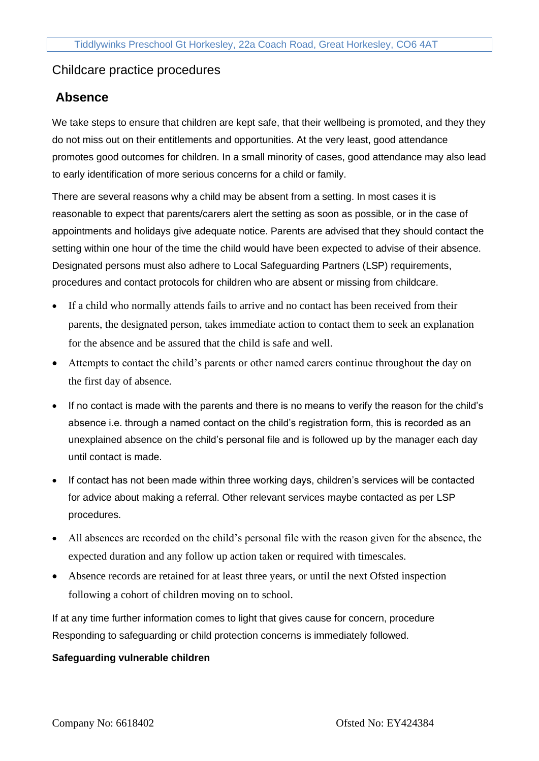# Childcare practice procedures

## **Absence**

We take steps to ensure that children are kept safe, that their wellbeing is promoted, and they they do not miss out on their entitlements and opportunities. At the very least, good attendance promotes good outcomes for children. In a small minority of cases, good attendance may also lead to early identification of more serious concerns for a child or family.

There are several reasons why a child may be absent from a setting. In most cases it is reasonable to expect that parents/carers alert the setting as soon as possible, or in the case of appointments and holidays give adequate notice. Parents are advised that they should contact the setting within one hour of the time the child would have been expected to advise of their absence. Designated persons must also adhere to Local Safeguarding Partners (LSP) requirements, procedures and contact protocols for children who are absent or missing from childcare.

- If a child who normally attends fails to arrive and no contact has been received from their parents, the designated person, takes immediate action to contact them to seek an explanation for the absence and be assured that the child is safe and well.
- Attempts to contact the child's parents or other named carers continue throughout the day on the first day of absence.
- If no contact is made with the parents and there is no means to verify the reason for the child's absence i.e. through a named contact on the child's registration form, this is recorded as an unexplained absence on the child's personal file and is followed up by the manager each day until contact is made.
- If contact has not been made within three working days, children's services will be contacted for advice about making a referral. Other relevant services maybe contacted as per LSP procedures.
- All absences are recorded on the child's personal file with the reason given for the absence, the expected duration and any follow up action taken or required with timescales.
- Absence records are retained for at least three years, or until the next Ofsted inspection following a cohort of children moving on to school.

If at any time further information comes to light that gives cause for concern, procedure Responding to safeguarding or child protection concerns is immediately followed.

#### **Safeguarding vulnerable children**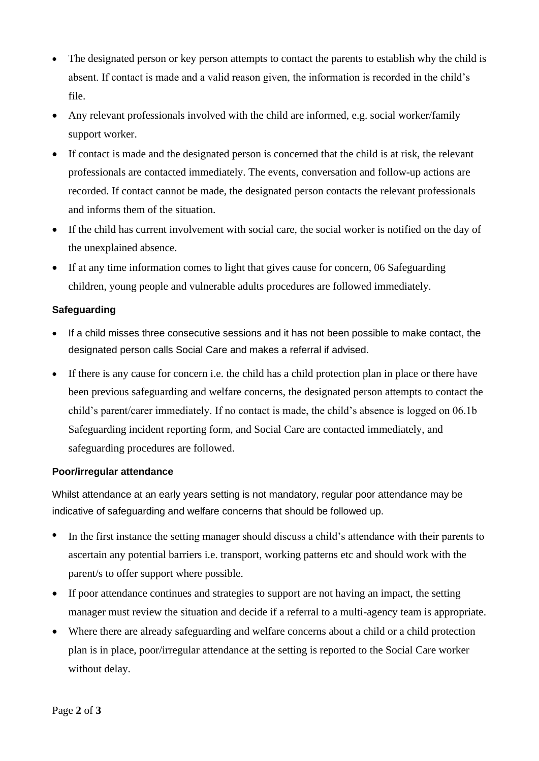- The designated person or key person attempts to contact the parents to establish why the child is absent. If contact is made and a valid reason given, the information is recorded in the child's file.
- Any relevant professionals involved with the child are informed, e.g. social worker/family support worker.
- If contact is made and the designated person is concerned that the child is at risk, the relevant professionals are contacted immediately. The events, conversation and follow-up actions are recorded. If contact cannot be made, the designated person contacts the relevant professionals and informs them of the situation.
- If the child has current involvement with social care, the social worker is notified on the day of the unexplained absence.
- If at any time information comes to light that gives cause for concern, 06 Safeguarding children, young people and vulnerable adults procedures are followed immediately.

## **Safeguarding**

- If a child misses three consecutive sessions and it has not been possible to make contact, the designated person calls Social Care and makes a referral if advised.
- If there is any cause for concern i.e. the child has a child protection plan in place or there have been previous safeguarding and welfare concerns, the designated person attempts to contact the child's parent/carer immediately. If no contact is made, the child's absence is logged on 06.1b Safeguarding incident reporting form, and Social Care are contacted immediately, and safeguarding procedures are followed.

## **Poor/irregular attendance**

Whilst attendance at an early years setting is not mandatory, regular poor attendance may be indicative of safeguarding and welfare concerns that should be followed up.

- In the first instance the setting manager should discuss a child's attendance with their parents to ascertain any potential barriers i.e. transport, working patterns etc and should work with the parent/s to offer support where possible.
- If poor attendance continues and strategies to support are not having an impact, the setting manager must review the situation and decide if a referral to a multi-agency team is appropriate.
- Where there are already safeguarding and welfare concerns about a child or a child protection plan is in place, poor/irregular attendance at the setting is reported to the Social Care worker without delay.